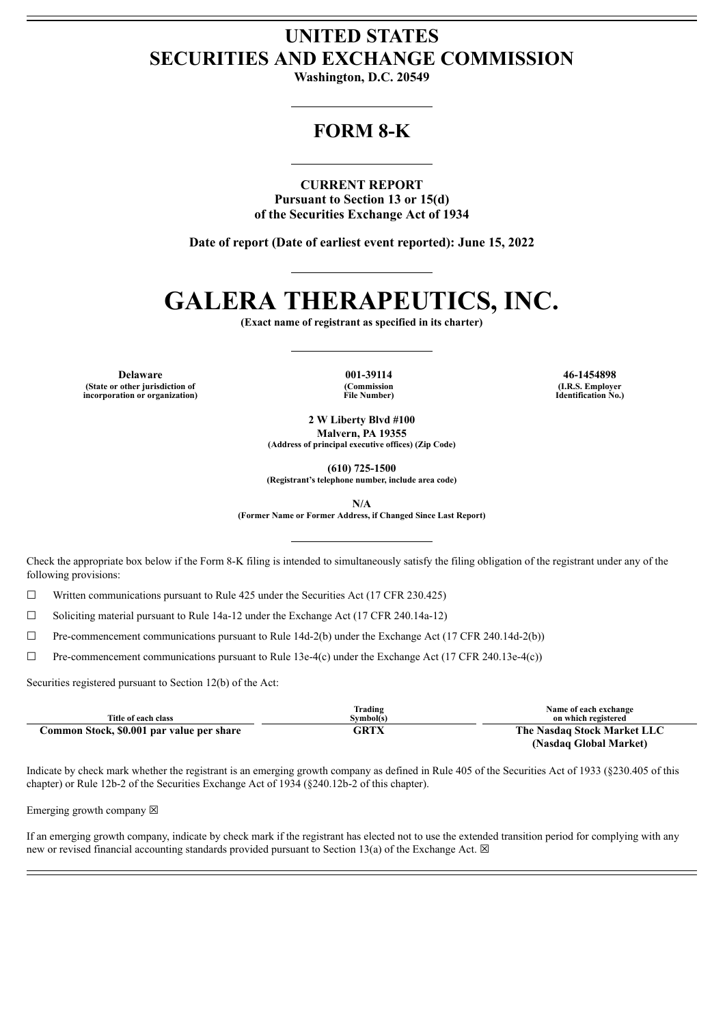## **UNITED STATES SECURITIES AND EXCHANGE COMMISSION**

**Washington, D.C. 20549**

## **FORM 8-K**

**CURRENT REPORT Pursuant to Section 13 or 15(d) of the Securities Exchange Act of 1934**

**Date of report (Date of earliest event reported): June 15, 2022**

# **GALERA THERAPEUTICS, INC.**

**(Exact name of registrant as specified in its charter)**

**Delaware 001-39114 46-1454898 (State or other jurisdiction of incorporation or organization)**

**(Commission File Number)**

**(I.R.S. Employer Identification No.)**

**2 W Liberty Blvd #100 Malvern, PA 19355 (Address of principal executive offices) (Zip Code)**

**(610) 725-1500**

**(Registrant's telephone number, include area code)**

**N/A**

**(Former Name or Former Address, if Changed Since Last Report)**

Check the appropriate box below if the Form 8-K filing is intended to simultaneously satisfy the filing obligation of the registrant under any of the following provisions:

☐ Written communications pursuant to Rule 425 under the Securities Act (17 CFR 230.425)

 $\Box$  Soliciting material pursuant to Rule 14a-12 under the Exchange Act (17 CFR 240.14a-12)

☐ Pre-commencement communications pursuant to Rule 14d-2(b) under the Exchange Act (17 CFR 240.14d-2(b))

☐ Pre-commencement communications pursuant to Rule 13e-4(c) under the Exchange Act (17 CFR 240.13e-4(c))

Securities registered pursuant to Section 12(b) of the Act:

| Title of each class                       | Trading<br>Svmbol(s) | Name of each exchange<br>on which registered |  |
|-------------------------------------------|----------------------|----------------------------------------------|--|
| Common Stock, \$0.001 par value per share | <b>GRTX</b>          | The Nasdag Stock Market LLC                  |  |
|                                           |                      | (Nasdaq Global Market)                       |  |

Indicate by check mark whether the registrant is an emerging growth company as defined in Rule 405 of the Securities Act of 1933 (§230.405 of this chapter) or Rule 12b-2 of the Securities Exchange Act of 1934 (§240.12b-2 of this chapter).

Emerging growth company  $\boxtimes$ 

If an emerging growth company, indicate by check mark if the registrant has elected not to use the extended transition period for complying with any new or revised financial accounting standards provided pursuant to Section 13(a) of the Exchange Act.  $\boxtimes$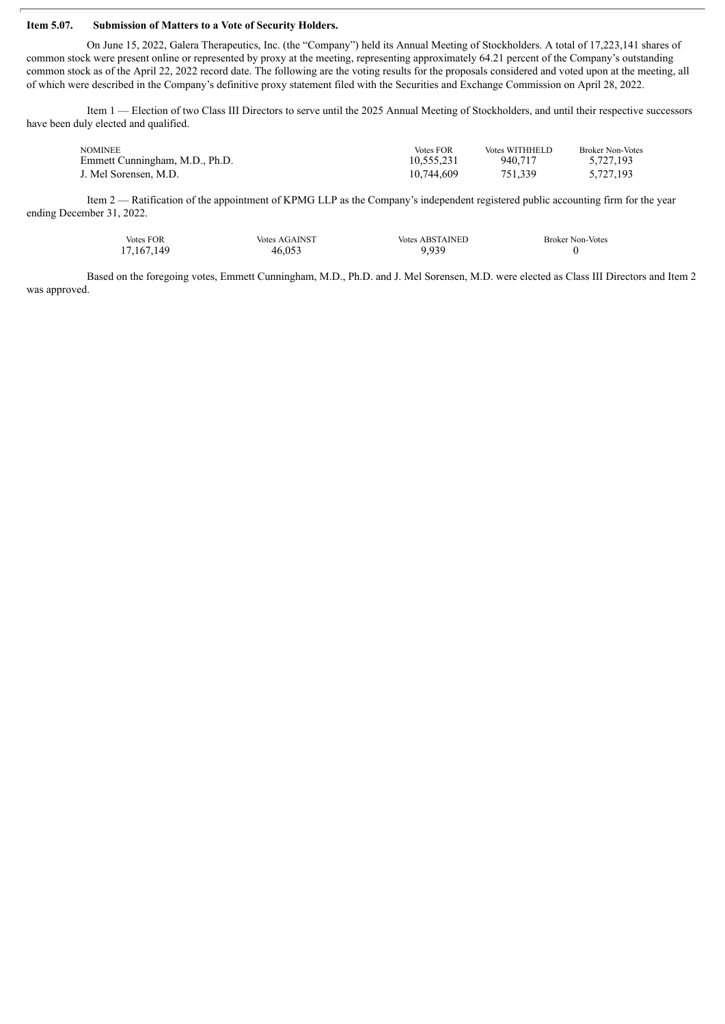#### **Item 5.07. Submission of Matters to a Vote of Security Holders.**

On June 15, 2022, Galera Therapeutics, Inc. (the "Company") held its Annual Meeting of Stockholders. A total of 17,223,141 shares of common stock were present online or represented by proxy at the meeting, representing approximately 64.21 percent of the Company's outstanding common stock as of the April 22, 2022 record date. The following are the voting results for the proposals considered and voted upon at the meeting, all of which were described in the Company's definitive proxy statement filed with the Securities and Exchange Commission on April 28, 2022.

Item 1 — Election of two Class III Directors to serve until the 2025 Annual Meeting of Stockholders, and until their respective successors have been duly elected and qualified.

| <b>NOMINEE</b>                 | <b>Votes FOR</b> | Votes WITHHELD | <b>Broker Non-Votes</b> |
|--------------------------------|------------------|----------------|-------------------------|
| Emmett Cunningham, M.D., Ph.D. | 10.555.231       | 940.717        | 5.727.193               |
| J. Mel Sorensen, M.D.          | 10.744.609       | 751.339        | 5.727.193               |

Item 2 — Ratification of the appointment of KPMG LLP as the Company's independent registered public accounting firm for the year ending December 31, 2022.

| <b>Votes FOR</b> | <b>Votes AGAINST</b> | <b>Votes ABSTAINED</b> | <b>Broker Non-Votes</b> |
|------------------|----------------------|------------------------|-------------------------|
| 17, 167, 149     | 46,053               | 9.939                  |                         |

Based on the foregoing votes, Emmett Cunningham, M.D., Ph.D. and J. Mel Sorensen, M.D. were elected as Class III Directors and Item 2 was approved.